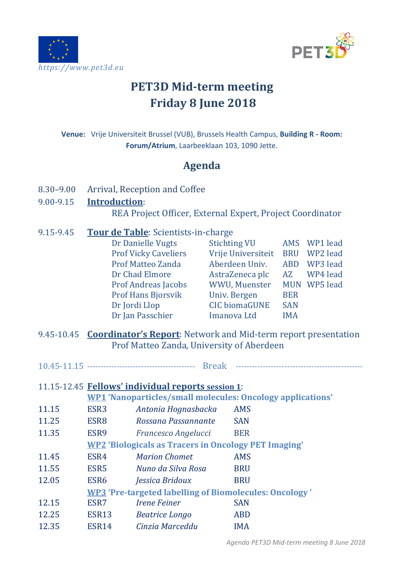



# **PET3D Mid-term meeting Friday 8 June 2018**

**Venue:** Vrije Universiteit Brussel (VUB), Brussels Health Campus, **Building R - Room: Forum/Atrium**, Laarbeeklaan 103, 1090 Jette.

## **Agenda**

8.30–9.00 Arrival, Reception and Coffee

#### 9.00-9.15 **Introduction**:

REA Project Officer, External Expert, Project Coordinator

- 9.15-9.45 **Tour de Table**: Scientists-in-charge Dr Danielle Vugts Stichting VU AMS WP1 lead<br>Prof Vicky Caveliers Vrije Universiteit BRU WP2 lead Vrije Universiteit BRU WP2 lead<br>Aberdeen Univ. ABD WP3 lead Prof Matteo Zanda Aberdeen Univ. ABD WP3 lead<br>Dr Chad Elmore AstraZeneca plc AZ WP4 lead Dr Chad Elmore AstraZeneca plc<br>Prof Andreas Jacobs WWU, Muenster WWU, Muenster MUN WP5 lead<br>Univ. Bergen BER Prof Hans Bjorsvik Univ. Bergen BER<br>Dr Jordi Llop CIC biomaGUNE SAN CIC biomaGUNE SAN<br>Imanova Ltd IMA Dr Ian Passchier
- 9.45-10.45 **Coordinator's Report**: Network and Mid-term report presentation Prof Matteo Zanda, University of Aberdeen
- 10.45-11.15 ---------------------------------------- Break -----------------------------------------------

11.15-12.45 **Fellows' individual reports session 1**:

|       | <b>WP1</b> 'Nanoparticles/small molecules: Oncology applications' |                                                             |            |  |  |
|-------|-------------------------------------------------------------------|-------------------------------------------------------------|------------|--|--|
| 11.15 | ESR <sub>3</sub>                                                  | Antonia Hognasbacka                                         | <b>AMS</b> |  |  |
| 11.25 | ESR <sub>8</sub>                                                  | Rossana Passannante                                         | <b>SAN</b> |  |  |
| 11.35 | ESR9                                                              | Francesco Angelucci                                         | <b>BER</b> |  |  |
|       |                                                                   | <b>WP2 'Biologicals as Tracers in Oncology PET Imaging'</b> |            |  |  |
| 11.45 | ESR4                                                              | <b>Marion Chomet</b>                                        | <b>AMS</b> |  |  |
| 11.55 | ESR <sub>5</sub>                                                  | Nuno da Silva Rosa                                          | <b>BRU</b> |  |  |
| 12.05 | ESR <sub>6</sub>                                                  | Jessica Bridoux                                             | <b>BRU</b> |  |  |
|       | <b>WP3</b> 'Pre-targeted labelling of Biomolecules: Oncology'     |                                                             |            |  |  |
| 12.15 | ESR7                                                              | <b>Irene Feiner</b>                                         | <b>SAN</b> |  |  |
| 12.25 | ESR13                                                             | <b>Beatrice Longo</b>                                       | <b>ABD</b> |  |  |
| 12.35 | ESR <sub>14</sub>                                                 | Cinzia Marceddu                                             | <b>IMA</b> |  |  |
|       |                                                                   |                                                             |            |  |  |